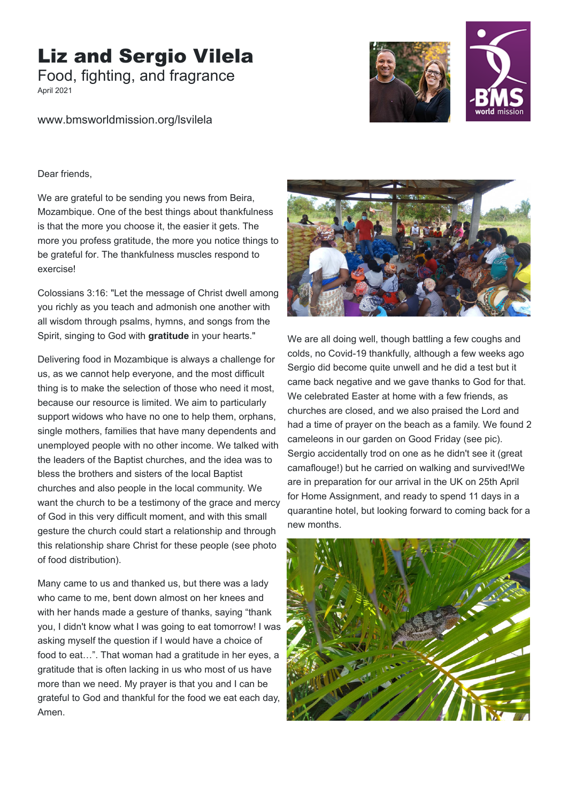## Liz and Sergio Vilela

Food, fighting, and fragrance

April 2021

www.bmsworldmission.org/lsvilela





Dear friends,

We are grateful to be sending you news from Beira, Mozambique. One of the best things about thankfulness is that the more you choose it, the easier it gets. The more you profess gratitude, the more you notice things to be grateful for. The thankfulness muscles respond to exercise!

Colossians 3:16: "Let the message of Christ dwell among you richly as you teach and admonish one another with all wisdom through psalms, hymns, and songs from the Spirit, singing to God with **gratitude** in your hearts."

Delivering food in Mozambique is always a challenge for us, as we cannot help everyone, and the most difficult thing is to make the selection of those who need it most, because our resource is limited. We aim to particularly support widows who have no one to help them, orphans, single mothers, families that have many dependents and unemployed people with no other income. We talked with the leaders of the Baptist churches, and the idea was to bless the brothers and sisters of the local Baptist churches and also people in the local community. We want the church to be a testimony of the grace and mercy of God in this very difficult moment, and with this small gesture the church could start a relationship and through this relationship share Christ for these people (see photo of food distribution).

Many came to us and thanked us, but there was a lady who came to me, bent down almost on her knees and with her hands made a gesture of thanks, saying "thank you, I didn't know what I was going to eat tomorrow! I was asking myself the question if I would have a choice of food to eat…". That woman had a gratitude in her eyes, a gratitude that is often lacking in us who most of us have more than we need. My prayer is that you and I can be grateful to God and thankful for the food we eat each day, Amen.



We are all doing well, though battling a few coughs and colds, no Covid-19 thankfully, although a few weeks ago Sergio did become quite unwell and he did a test but it came back negative and we gave thanks to God for that. We celebrated Easter at home with a few friends, as churches are closed, and we also praised the Lord and had a time of prayer on the beach as a family. We found 2 cameleons in our garden on Good Friday (see pic). Sergio accidentally trod on one as he didn't see it (great camaflouge!) but he carried on walking and survived!We are in preparation for our arrival in the UK on 25th April for Home Assignment, and ready to spend 11 days in a quarantine hotel, but looking forward to coming back for a new months.